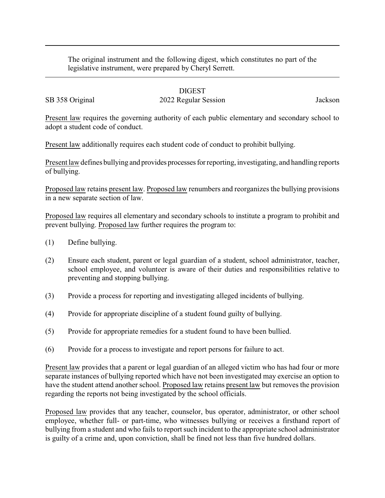The original instrument and the following digest, which constitutes no part of the legislative instrument, were prepared by Cheryl Serrett.

## DIGEST

SB 358 Original 2022 Regular Session Jackson

Present law requires the governing authority of each public elementary and secondary school to adopt a student code of conduct.

Present law additionally requires each student code of conduct to prohibit bullying.

Present law defines bullying and provides processes for reporting, investigating, and handling reports of bullying.

Proposed law retains present law. Proposed law renumbers and reorganizes the bullying provisions in a new separate section of law.

Proposed law requires all elementary and secondary schools to institute a program to prohibit and prevent bullying. Proposed law further requires the program to:

- (1) Define bullying.
- (2) Ensure each student, parent or legal guardian of a student, school administrator, teacher, school employee, and volunteer is aware of their duties and responsibilities relative to preventing and stopping bullying.
- (3) Provide a process for reporting and investigating alleged incidents of bullying.
- (4) Provide for appropriate discipline of a student found guilty of bullying.
- (5) Provide for appropriate remedies for a student found to have been bullied.
- (6) Provide for a process to investigate and report persons for failure to act.

Present law provides that a parent or legal guardian of an alleged victim who has had four or more separate instances of bullying reported which have not been investigated may exercise an option to have the student attend another school. Proposed law retains present law but removes the provision regarding the reports not being investigated by the school officials.

Proposed law provides that any teacher, counselor, bus operator, administrator, or other school employee, whether full- or part-time, who witnesses bullying or receives a firsthand report of bullying from a student and who fails to report such incident to the appropriate school administrator is guilty of a crime and, upon conviction, shall be fined not less than five hundred dollars.